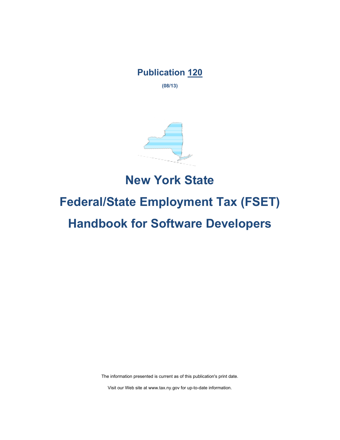# **Publication 120**

**(08/13)**



# **New York State Federal/State Employment Tax (FSET) Handbook for Software Developers**

The information presented is current as of this publication's print date.

Visit our Web site at www.tax.ny.gov for up-to-date information.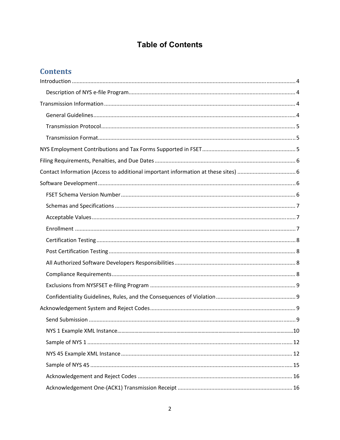# **Table of Contents**

# **Contents**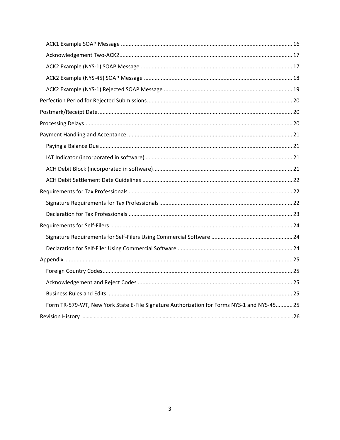| Form TR-579-WT, New York State E-File Signature Authorization for Forms NYS-1 and NYS-4525 |  |
|--------------------------------------------------------------------------------------------|--|
|                                                                                            |  |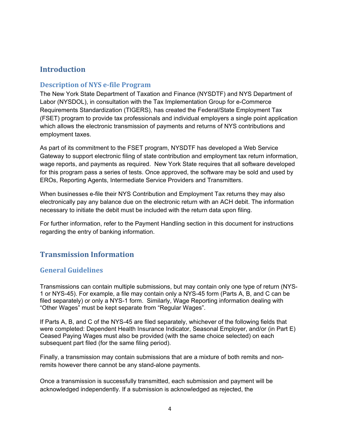### **Introduction**

#### **Description of NYS e‐file Program**

The New York State Department of Taxation and Finance (NYSDTF) and NYS Department of Labor (NYSDOL), in consultation with the Tax Implementation Group for e-Commerce Requirements Standardization (TIGERS), has created the Federal/State Employment Tax (FSET) program to provide tax professionals and individual employers a single point application which allows the electronic transmission of payments and returns of NYS contributions and employment taxes.

As part of its commitment to the FSET program, NYSDTF has developed a Web Service Gateway to support electronic filing of state contribution and employment tax return information, wage reports, and payments as required. New York State requires that all software developed for this program pass a series of tests. Once approved, the software may be sold and used by EROs, Reporting Agents, Intermediate Service Providers and Transmitters.

When businesses e-file their NYS Contribution and Employment Tax returns they may also electronically pay any balance due on the electronic return with an ACH debit. The information necessary to initiate the debit must be included with the return data upon filing.

For further information, refer to the Payment Handling section in this document for instructions regarding the entry of banking information.

# **Transmission Information**

#### **General Guidelines**

Transmissions can contain multiple submissions, but may contain only one type of return (NYS-1 or NYS-45). For example, a file may contain only a NYS-45 form (Parts A, B, and C can be filed separately) or only a NYS-1 form. Similarly, Wage Reporting information dealing with "Other Wages" must be kept separate from "Regular Wages".

If Parts A, B, and C of the NYS-45 are filed separately, whichever of the following fields that were completed: Dependent Health Insurance Indicator, Seasonal Employer, and/or (in Part E) Ceased Paying Wages must also be provided (with the same choice selected) on each subsequent part filed (for the same filing period).

Finally, a transmission may contain submissions that are a mixture of both remits and nonremits however there cannot be any stand-alone payments.

Once a transmission is successfully transmitted, each submission and payment will be acknowledged independently. If a submission is acknowledged as rejected, the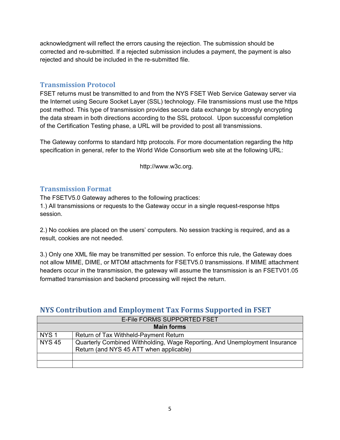acknowledgment will reflect the errors causing the rejection. The submission should be corrected and re-submitted. If a rejected submission includes a payment, the payment is also rejected and should be included in the re-submitted file.

#### **Transmission Protocol**

FSET returns must be transmitted to and from the NYS FSET Web Service Gateway server via the Internet using Secure Socket Layer (SSL) technology. File transmissions must use the https post method. This type of transmission provides secure data exchange by strongly encrypting the data stream in both directions according to the SSL protocol. Upon successful completion of the Certification Testing phase, a URL will be provided to post all transmissions.

The Gateway conforms to standard http protocols. For more documentation regarding the http specification in general, refer to the World Wide Consortium web site at the following URL:

http://www.w3c.org.

#### **Transmission Format**

The FSETV5.0 Gateway adheres to the following practices:

1.) All transmissions or requests to the Gateway occur in a single request-response https session.

2.) No cookies are placed on the users' computers. No session tracking is required, and as a result, cookies are not needed.

3.) Only one XML file may be transmitted per session. To enforce this rule, the Gateway does not allow MIME, DIME, or MTOM attachments for FSETV5.0 transmissions. If MIME attachment headers occur in the transmission, the gateway will assume the transmission is an FSETV01.05 formatted transmission and backend processing will reject the return.

# **NYS Contribution and Employment Tax Forms Supported in FSET**

|                  | E-File FORMS SUPPORTED FSET                                                                                           |  |  |  |  |
|------------------|-----------------------------------------------------------------------------------------------------------------------|--|--|--|--|
|                  | <b>Main forms</b>                                                                                                     |  |  |  |  |
| NYS <sub>1</sub> | Return of Tax Withheld-Payment Return                                                                                 |  |  |  |  |
| <b>NYS 45</b>    | Quarterly Combined Withholding, Wage Reporting, And Unemployment Insurance<br>Return (and NYS 45 ATT when applicable) |  |  |  |  |
|                  |                                                                                                                       |  |  |  |  |
|                  |                                                                                                                       |  |  |  |  |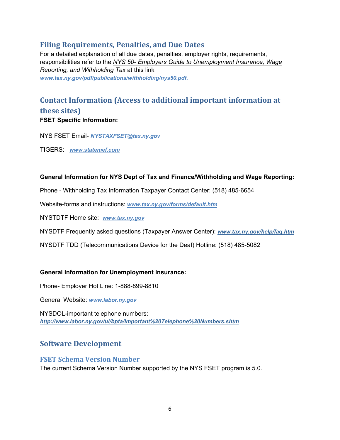# **Filing Requirements, Penalties, and Due Dates**

For a detailed explanation of all due dates, penalties, employer rights, requirements, responsibilities refer to the *NYS 50- Employers Guide to Unemployment Insurance, Wage Reporting, and Withholding Tax* at this link *www.tax.ny.gov/pdf/publications/withholding/nys50.pdf.*

# **Contact Information (Access to additional important information at these sites) FSET Specific Information:**

NYS FSET Email- *NYSTAXFSET@tax.ny.gov*

TIGERS: *www.statemef.com*

#### **General Information for NYS Dept of Tax and Finance/Withholding and Wage Reporting:**

Phone - Withholding Tax Information Taxpayer Contact Center: (518) 485-6654

Website-forms and instructions: *www.tax.ny.gov/forms/default.htm*

NYSTDTF Home site: *www.tax.ny.gov*

NYSDTF Frequently asked questions (Taxpayer Answer Center): *www.tax.ny.gov/help/faq.htm* 

NYSDTF TDD (Telecommunications Device for the Deaf) Hotline: (518) 485-5082

#### **General Information for Unemployment Insurance:**

Phone- Employer Hot Line: 1-888-899-8810

General Website: *www.labor.ny.gov*

NYSDOL-important telephone numbers: *http://www.labor.ny.gov/ui/bpta/Important%20Telephone%20Numbers.shtm*

# **Software Development**

#### **FSET Schema Version Number**

The current Schema Version Number supported by the NYS FSET program is 5.0.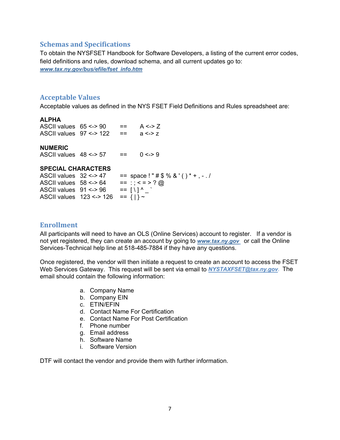#### **Schemas and Specifications**

To obtain the NYSFSET Handbook for Software Developers, a listing of the current error codes, field definitions and rules, download schema, and all current updates go to: *www.tax.ny.gov/bus/efile/fset\_info.htm*

#### **Acceptable Values**

Acceptable values as defined in the NYS FSET Field Definitions and Rules spreadsheet are:

#### **ALPHA**

ASCII values  $65 \le -90$  == A <-> Z ASCII values  $97 \le -2$  122 == a  $\le -2$ 

**NUMERIC** 

ASCII values  $48 \le -57$  == 0 <-> 9

#### **SPECIAL CHARACTERS**

| ASCII values $32 \le -27$ |                                  | $==$ space!"#\$%&'()*+,-./ |  |
|---------------------------|----------------------------------|----------------------------|--|
| ASCII values $58 \leq 64$ |                                  | $==$ : ; < = > ? @         |  |
| ASCII values $91 \le 96$  |                                  | $=$ $[ \ \ ]$ $\wedge$     |  |
|                           | ASCII values $123 \le -2126 = 1$ |                            |  |

#### **Enrollment**

All participants will need to have an OLS (Online Services) account to register. If a vendor is not yet registered, they can create an account by going to *www.tax.ny.gov* or call the Online Services-Technical help line at 518-485-7884 if they have any questions.

Once registered, the vendor will then initiate a request to create an account to access the FSET Web Services Gateway. This request will be sent via email to *NYSTAXFSET@tax.ny.gov*. The email should contain the following information:

- a. Company Name
- b. Company EIN
- c. ETIN/EFIN
- d. Contact Name For Certification
- e. Contact Name For Post Certification
- f. Phone number
- g. Email address
- h. Software Name
- i. Software Version

DTF will contact the vendor and provide them with further information.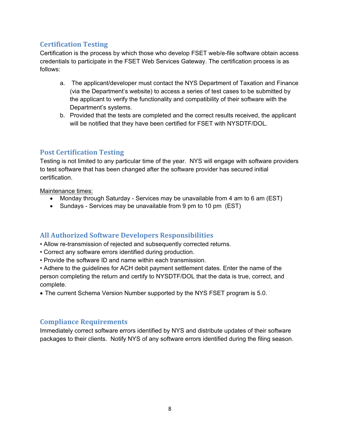#### **Certification Testing**

Certification is the process by which those who develop FSET web/e-file software obtain access credentials to participate in the FSET Web Services Gateway. The certification process is as follows:

- a. The applicant/developer must contact the NYS Department of Taxation and Finance (via the Department's website) to access a series of test cases to be submitted by the applicant to verify the functionality and compatibility of their software with the Department's systems.
- b. Provided that the tests are completed and the correct results received, the applicant will be notified that they have been certified for FSET with NYSDTF/DOL.

#### **Post Certification Testing**

Testing is not limited to any particular time of the year. NYS will engage with software providers to test software that has been changed after the software provider has secured initial certification.

Maintenance times:

- Monday through Saturday Services may be unavailable from 4 am to 6 am (EST)
- Sundays Services may be unavailable from 9 pm to 10 pm (EST)

#### **All Authorized Software Developers Responsibilities**

- Allow re-transmission of rejected and subsequently corrected returns.
- Correct any software errors identified during production.
- Provide the software ID and name within each transmission.

• Adhere to the guidelines for ACH debit payment settlement dates. Enter the name of the person completing the return and certify to NYSDTF/DOL that the data is true, correct, and complete.

• The current Schema Version Number supported by the NYS FSET program is 5.0.

#### **Compliance Requirements**

Immediately correct software errors identified by NYS and distribute updates of their software packages to their clients. Notify NYS of any software errors identified during the filing season.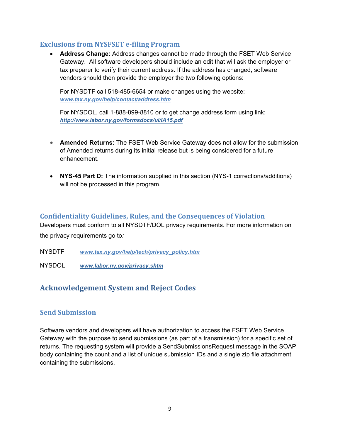#### **Exclusions from NYSFSET e‐filing Program**

 **Address Change:** Address changes cannot be made through the FSET Web Service Gateway. All software developers should include an edit that will ask the employer or tax preparer to verify their current address. If the address has changed, software vendors should then provide the employer the two following options:

For NYSDTF call 518-485-6654 or make changes using the website: *www.tax.ny.gov/help/contact/address.htm*

For NYSDOL, call 1-888-899-8810 or to get change address form using link: *http://www.labor.ny.gov/formsdocs/ui/IA15.pdf*

- **Amended Returns:** The FSET Web Service Gateway does not allow for the submission of Amended returns during its initial release but is being considered for a future enhancement.
- **NYS-45 Part D:** The information supplied in this section (NYS-1 corrections/additions) will not be processed in this program.

#### **Confidentiality Guidelines, Rules, and the Consequences of Violation**

Developers must conform to all NYSDTF/DOL privacy requirements. For more information on the privacy requirements go to*:* 

NYSDTF *www.tax.ny.gov/help/tech/privacy\_policy.htm*

NYSDOL *www.labor.ny.gov/privacy.shtm*

# **Acknowledgement System and Reject Codes**

#### **Send Submission**

Software vendors and developers will have authorization to access the FSET Web Service Gateway with the purpose to send submissions (as part of a transmission) for a specific set of returns. The requesting system will provide a SendSubmissionsRequest message in the SOAP body containing the count and a list of unique submission IDs and a single zip file attachment containing the submissions.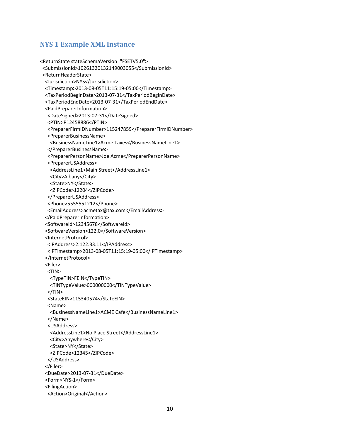#### **NYS 1 Example XML Instance**

```
<ReturnState stateSchemaVersion="FSETV5.0">
   <SubmissionId>10261320132149003055</SubmissionId>
   <ReturnHeaderState>
      <Jurisdiction>NYS</Jurisdiction>
      <Timestamp>2013‐08‐05T11:15:19‐05:00</Timestamp>
      <TaxPeriodBeginDate>2013‐07‐31</TaxPeriodBeginDate>
      <TaxPeriodEndDate>2013‐07‐31</TaxPeriodEndDate>
      <PaidPreparerInformation>
     <DateSigned>2013‐07‐31</DateSigned>
     <PTIN>P12458886</PTIN>
     <PreparerFirmIDNumber>115247859</PreparerFirmIDNumber>
     <PreparerBusinessName>
        <BusinessNameLine1>Acme Taxes</BusinessNameLine1>
     </PreparerBusinessName>
     <PreparerPersonName>Joe Acme</PreparerPersonName>
     <PreparerUSAddress>
    <AddressLine1>Main Street</AddressLine1>
    <City>Albany</City>
    <State>NY</State>
    <ZIPCode>12204</ZIPCode>
     </PreparerUSAddress>
     <Phone>5555551212</Phone>
     <EmailAddress>acmetax@tax.com</EmailAddress>
      </PaidPreparerInformation>
      <SoftwareId>12345678</SoftwareId>
      <SoftwareVersion>122.0</SoftwareVersion>
      <InternetProtocol>
     <IPAddress>2.122.33.11</IPAddress>
         <IPTimestamp>2013‐08‐05T11:15:19‐05:00</IPTimestamp>
      </InternetProtocol>
      <Filer>
     <TIN>
    <TypeTIN>FEIN</TypeTIN>
        <TINTypeValue>000000000</TINTypeValue>
   </TIN>  <StateEIN>115340574</StateEIN>
     <Name>
    <BusinessNameLine1>ACME Cafe</BusinessNameLine1>
     </Name>
     <USAddress>
    <AddressLine1>No Place Street</AddressLine1>
    <City>Anywhere</City>
    <State>NY</State>
    <ZIPCode>12345</ZIPCode>
         </USAddress>
      </Filer>
      <DueDate>2013‐07‐31</DueDate>
      <Form>NYS‐1</Form>
      <FilingAction>
     <Action>Original</Action>
```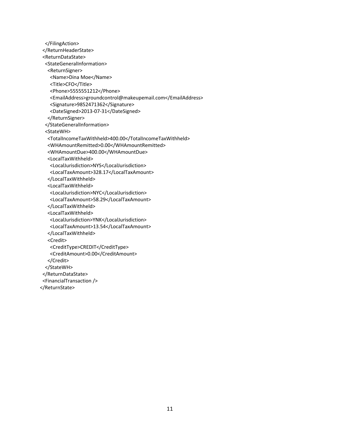```
    </FilingAction>
   </ReturnHeaderState>
   <ReturnDataState>
      <StateGeneralInformation>
     <ReturnSigner>
    <Name>Dina Moe</Name>
    <Title>CFO</Title>
    <Phone>5555551212</Phone>
    <EmailAddress>groundcontrol@makeupemail.com</EmailAddress>
    <Signature>9852471362</Signature>
    <DateSigned>2013‐07‐31</DateSigned>
         </ReturnSigner>
      </StateGeneralInformation>
      <StateWH>
     <TotalIncomeTaxWithheld>400.00</TotalIncomeTaxWithheld>
     <WHAmountRemitted>0.00</WHAmountRemitted>
     <WHAmountDue>400.00</WHAmountDue>
     <LocalTaxWithheld>
    <LocalJurisdiction>NYS</LocalJurisdiction>
    <LocalTaxAmount>328.17</LocalTaxAmount>
     </LocalTaxWithheld>
     <LocalTaxWithheld>
    <LocalJurisdiction>NYC</LocalJurisdiction>
    <LocalTaxAmount>58.29</LocalTaxAmount>
     </LocalTaxWithheld>
     <LocalTaxWithheld>
    <LocalJurisdiction>YNK</LocalJurisdiction>
    <LocalTaxAmount>13.54</LocalTaxAmount>
     </LocalTaxWithheld>
     <Credit>
    <CreditType>CREDIT</CreditType>
    <CreditAmount>0.00</CreditAmount>
     </Credit>
      </StateWH>
   </ReturnDataState>
   <FinancialTransaction />
</ReturnState>
```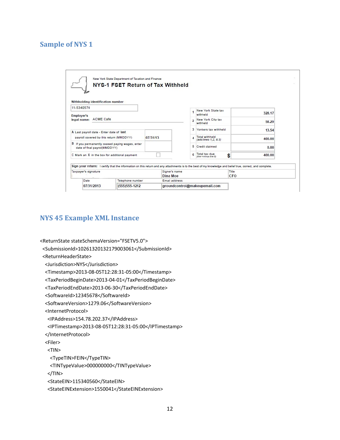#### **Sample of NYS 1**

| Withholding identification number                                                                                                                          |                  |          |                         |                                               |       |        |
|------------------------------------------------------------------------------------------------------------------------------------------------------------|------------------|----------|-------------------------|-----------------------------------------------|-------|--------|
| 11-5340574<br>Employer's                                                                                                                                   |                  |          |                         | New York State tax<br>withheld                |       | 328.17 |
| legal name: ACME Cafe                                                                                                                                      |                  |          | $\overline{\mathbf{z}}$ | New York City tax<br>withheld                 |       | 58.29  |
| A Last payroll date - Enter date of last                                                                                                                   |                  |          |                         | 3 Yonkers tax withheld                        |       | 13.54  |
| payroll covered by this return (MMDDYY)                                                                                                                    |                  | 07/31/13 |                         | <b>Total withheld</b><br>(add lines 1.2, & 3) |       | 400.00 |
| B If you permanently ceased paying wages, enter<br>date of final payrol(MMDDYY)                                                                            |                  |          |                         | 5 Credit claimed                              |       | 0.00   |
| C Mark an X in the box for additional payment                                                                                                              |                  |          |                         | Total tax due<br>(line 4 minus line 5)        | \$    | 400.00 |
| Sign your return: I certify that the information on this return and any attachments is to the best of my knowledge and belief true, correct, and complete. |                  |          |                         |                                               |       |        |
| Taxpayer's signature                                                                                                                                       |                  |          | Signer's name           |                                               | Title |        |
|                                                                                                                                                            |                  |          | Dina Moe                |                                               | CFO   |        |
| Date                                                                                                                                                       | Telephone number |          | Email address           |                                               |       |        |
| 07/31/2013                                                                                                                                                 | $(555)555-1212$  |          |                         | groundcontrol@makeupemail.com                 |       |        |

#### **NYS 45 Example XML Instance**

```
<ReturnState stateSchemaVersion="FSETV5.0">
  <SubmissionId>10261320132179003061</SubmissionId>
   <ReturnHeaderState>
      <Jurisdiction>NYS</Jurisdiction>
      <Timestamp>2013‐08‐05T12:28:31‐05:00</Timestamp>
      <TaxPeriodBeginDate>2013‐04‐01</TaxPeriodBeginDate>
      <TaxPeriodEndDate>2013‐06‐30</TaxPeriodEndDate>
      <SoftwareId>12345678</SoftwareId>
      <SoftwareVersion>1279.06</SoftwareVersion>
      <InternetProtocol>
     <IPAddress>154.78.202.37</IPAddress>
         <IPTimestamp>2013‐08‐05T12:28:31‐05:00</IPTimestamp>
      </InternetProtocol>
      <Filer>
     <TIN>
    <TypeTIN>FEIN</TypeTIN>
        <TINTypeValue>000000000</TINTypeValue>
   </TIN>  <StateEIN>115340560</StateEIN>
```

```
  <StateEINExtension>1550041</StateEINExtension>
```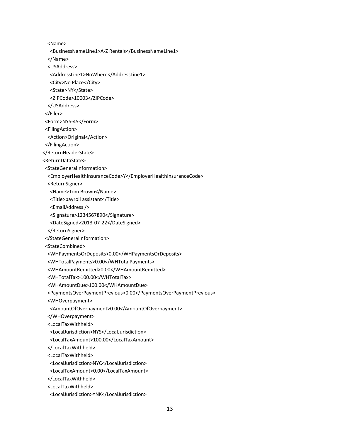<Name> <BusinessNameLine1>A‐Z Rentals</BusinessNameLine1> </Name> <USAddress> <AddressLine1>NoWhere</AddressLine1> <City>No Place</City> <State>NY</State> <ZIPCode>10003</ZIPCode> </USAddress> </Filer> <Form>NYS‐45</Form> <FilingAction> <Action>Original</Action> </FilingAction> </ReturnHeaderState> <ReturnDataState> <StateGeneralInformation> <EmployerHealthInsuranceCode>Y</EmployerHealthInsuranceCode> <ReturnSigner> <Name>Tom Brown</Name> <Title>payroll assistant</Title> <EmailAddress /> <Signature>1234567890</Signature> <DateSigned>2013‐07‐22</DateSigned> </ReturnSigner> </StateGeneralInformation> <StateCombined> <WHPaymentsOrDeposits>0.00</WHPaymentsOrDeposits> <WHTotalPayments>0.00</WHTotalPayments> <WHAmountRemitted>0.00</WHAmountRemitted> <WHTotalTax>100.00</WHTotalTax> <WHAmountDue>100.00</WHAmountDue> <PaymentsOverPaymentPrevious>0.00</PaymentsOverPaymentPrevious> <WHOverpayment> <AmountOfOverpayment>0.00</AmountOfOverpayment> </WHOverpayment> <LocalTaxWithheld> <LocalJurisdiction>NYS</LocalJurisdiction> <LocalTaxAmount>100.00</LocalTaxAmount> </LocalTaxWithheld> <LocalTaxWithheld> <LocalJurisdiction>NYC</LocalJurisdiction> <LocalTaxAmount>0.00</LocalTaxAmount> </LocalTaxWithheld> <LocalTaxWithheld> <LocalJurisdiction>YNK</LocalJurisdiction>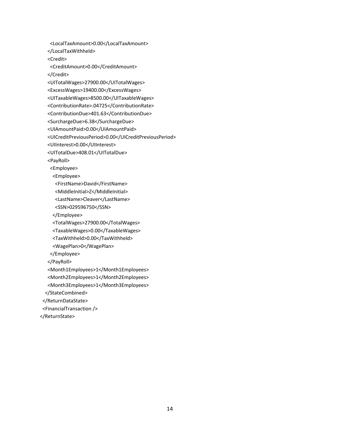<LocalTaxAmount>0.00</LocalTaxAmount> </LocalTaxWithheld> <Credit> <CreditAmount>0.00</CreditAmount> </Credit> <UITotalWages>27900.00</UITotalWages> <ExcessWages>19400.00</ExcessWages> <UITaxableWages>8500.00</UITaxableWages> <ContributionRate>.04725</ContributionRate> <ContributionDue>401.63</ContributionDue> <SurchargeDue>6.38</SurchargeDue> <UIAmountPaid>0.00</UIAmountPaid> <UICreditPreviousPeriod>0.00</UICreditPreviousPeriod> <UIInterest>0.00</UIInterest> <UITotalDue>408.01</UITotalDue> <PayRoll> <Employee> <Employee> <FirstName>David</FirstName> <MiddleInitial>Z</MiddleInitial> <LastName>Cleaver</LastName> <SSN>029596750</SSN> </Employee> <TotalWages>27900.00</TotalWages> <TaxableWages>0.00</TaxableWages> <TaxWithheld>0.00</TaxWithheld> <WagePlan>0</WagePlan> </Employee> </PayRoll> <Month1Employees>1</Month1Employees> <Month2Employees>1</Month2Employees> <Month3Employees>1</Month3Employees> </StateCombined> </ReturnDataState> <FinancialTransaction />

</ReturnState>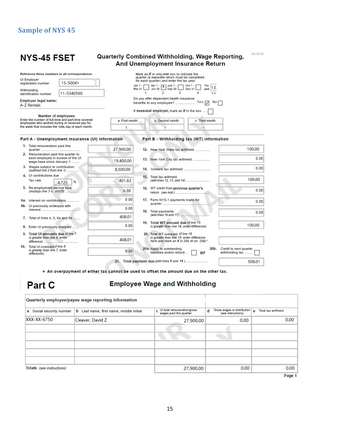# **Sample of NYS 45**

|                                            | <b>NYS-45 FSET</b>                                                                                     |                                                                                                        | <b>Quarterly Combined Withholding, Wage Reporting,</b> |                                                                                                                                                           | <b>And Unemployment Insurance Return</b>                                                                                |                       | $(01/19)$ V6                              |  |  |
|--------------------------------------------|--------------------------------------------------------------------------------------------------------|--------------------------------------------------------------------------------------------------------|--------------------------------------------------------|-----------------------------------------------------------------------------------------------------------------------------------------------------------|-------------------------------------------------------------------------------------------------------------------------|-----------------------|-------------------------------------------|--|--|
|                                            |                                                                                                        | Reference these numbers in all correspondence:                                                         |                                                        |                                                                                                                                                           | Mark an $X$ in only one box to indicate the<br>quarter (a separate return must be completed                             |                       |                                           |  |  |
|                                            | <b>UI Employer</b><br>registration number                                                              | 15-50041                                                                                               |                                                        |                                                                                                                                                           | for each quarter) and enter the tax year.                                                                               |                       |                                           |  |  |
|                                            | Withholdina<br>identification number                                                                   | 11-5340560                                                                                             |                                                        | Apr 1 - [X] July 1 - 0ct 1 - [<br>Jun 30 [X] Sep 30 [ ] Dec 31<br>$Jan 1 -$<br>Tax<br>year 13<br>Mar 31<br>$\mathfrak{D}$<br>3<br>$\mathbf{1}$<br>4<br>YY |                                                                                                                         |                       |                                           |  |  |
| Employer legal name:<br><b>A-Z Rentals</b> |                                                                                                        |                                                                                                        |                                                        | Do you offer dependent health insurance                                                                                                                   |                                                                                                                         |                       |                                           |  |  |
|                                            | Number of employees                                                                                    |                                                                                                        |                                                        |                                                                                                                                                           | If seasonal employer, mark an $X$ in the box                                                                            |                       |                                           |  |  |
|                                            |                                                                                                        | Enter the number of full-time and part-time covered<br>employees who worked during or received pay for | a. First month                                         |                                                                                                                                                           | b. Second month                                                                                                         |                       |                                           |  |  |
|                                            |                                                                                                        | the week that includes the 12th day of each month.                                                     | 1                                                      |                                                                                                                                                           | 1                                                                                                                       | 1                     |                                           |  |  |
|                                            |                                                                                                        | Part A - Unemployment insurance (UI) information                                                       |                                                        |                                                                                                                                                           | Part B - Withholding tax (WT) information                                                                               |                       |                                           |  |  |
|                                            | 1. Total remuneration paid this                                                                        |                                                                                                        | 27,900.00                                              |                                                                                                                                                           | 12. New York State tax withheld                                                                                         |                       | 100.00                                    |  |  |
|                                            | 2. Remuneration paid this quarter to<br>each employee in excess of the UI<br>wage base since January 1 |                                                                                                        | 19.400.00                                              |                                                                                                                                                           | 13. New York City tax withheld                                                                                          |                       | 0.00                                      |  |  |
|                                            | 3. Wages subject to contribution<br>(subtract line 2 from line 1)                                      |                                                                                                        | 8,500.00                                               |                                                                                                                                                           |                                                                                                                         |                       | 0.00                                      |  |  |
|                                            | 4. UI contributions due<br>Tax rate                                                                    |                                                                                                        | 401.63                                                 |                                                                                                                                                           | 15. Total tax withheld                                                                                                  |                       | 100,00                                    |  |  |
|                                            |                                                                                                        | %<br>4.725                                                                                             |                                                        |                                                                                                                                                           |                                                                                                                         |                       |                                           |  |  |
|                                            | 5. Re-employment service fund                                                                          |                                                                                                        | 6.38                                                   |                                                                                                                                                           | 16. WT credit from previous quarter's                                                                                   |                       | 0.00                                      |  |  |
|                                            | 6a. Interest on contributions                                                                          |                                                                                                        | 0.00                                                   |                                                                                                                                                           | 17. Form NYS-1 payments made for                                                                                        |                       | 0.00                                      |  |  |
|                                            | 6b. UI previously underpaid with                                                                       |                                                                                                        | 0.00                                                   |                                                                                                                                                           | 18. Total payments                                                                                                      |                       | 0.00                                      |  |  |
|                                            | 7. Total of lines 4, 5, 6a and 6b                                                                      |                                                                                                        | 408.01                                                 |                                                                                                                                                           | (add lines 16 and 17)                                                                                                   |                       |                                           |  |  |
|                                            | Enter UI previously overpaid                                                                           |                                                                                                        | 0.00                                                   |                                                                                                                                                           | 19. Total WT amount due (if line 15<br>is greater than line 18, enter difference)                                       |                       | 100,00                                    |  |  |
|                                            | 9. Total UI amounts due (if line 7<br>is greater than line 8, enter                                    |                                                                                                        | 408.01                                                 |                                                                                                                                                           | 20. Total WT overpaid (if line 18<br>is greater than line 15, enter difference<br>here and mark an X in 20a or an 20b)* |                       |                                           |  |  |
|                                            | 10. Total UI overpaid (if line 8<br>is greater than line 7, enter<br>difference)                       |                                                                                                        | 0.00                                                   |                                                                                                                                                           | 20a. Apply to outstanding<br>liabilities and/or refund                                                                  | 20 <sub>b</sub><br>or | Credit to next quarter<br>withholding tax |  |  |
|                                            |                                                                                                        |                                                                                                        |                                                        |                                                                                                                                                           | 21. Total payment due (add lines 9 and 19)                                                                              |                       | 508.01                                    |  |  |

\* An overpayment of either tax cannot be used to offset the amount due on the other tax.

# Part C

#### **Employee Wage and Withholding**

| Quarterly employee/payee wage reporting information |                                         |                                                          |                                                        |                      |  |
|-----------------------------------------------------|-----------------------------------------|----------------------------------------------------------|--------------------------------------------------------|----------------------|--|
| Social security number<br>a                         | b Last name, first name, middle initial | C UI total remuneration/gross<br>wages paid this quarter | Gross wages or distribution<br>(see instructions)<br>d | e Total tax withheld |  |
| XXX-XX-6750                                         | Cleaver, David Z                        | 27,900.00                                                | 0.00                                                   | 0.00                 |  |
|                                                     |                                         |                                                          |                                                        |                      |  |
|                                                     |                                         |                                                          |                                                        |                      |  |
|                                                     |                                         |                                                          |                                                        |                      |  |
|                                                     |                                         |                                                          |                                                        |                      |  |
|                                                     |                                         |                                                          |                                                        |                      |  |
| Totals (see instructions)                           |                                         | 27,900.00                                                | 0.00                                                   | 0.00                 |  |

Page 1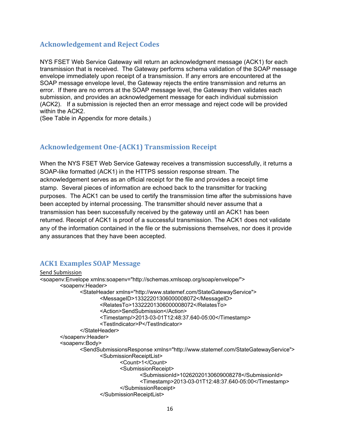#### **Acknowledgement and Reject Codes**

NYS FSET Web Service Gateway will return an acknowledgment message (ACK1) for each transmission that is received. The Gateway performs schema validation of the SOAP message envelope immediately upon receipt of a transmission. If any errors are encountered at the SOAP message envelope level, the Gateway rejects the entire transmission and returns an error. If there are no errors at the SOAP message level, the Gateway then validates each submission, and provides an acknowledgement message for each individual submission (ACK2). If a submission is rejected then an error message and reject code will be provided within the ACK2.

(See Table in Appendix for more details.)

#### **Acknowledgement One‐(ACK1) Transmission Receipt**

When the NYS FSET Web Service Gateway receives a transmission successfully, it returns a SOAP-like formatted (ACK1) in the HTTPS session response stream. The acknowledgement serves as an official receipt for the file and provides a receipt time stamp. Several pieces of information are echoed back to the transmitter for tracking purposes. The ACK1 can be used to certify the transmission time after the submissions have been accepted by internal processing. The transmitter should never assume that a transmission has been successfully received by the gateway until an ACK1 has been returned. Receipt of ACK1 is proof of a successful transmission. The ACK1 does not validate any of the information contained in the file or the submissions themselves, nor does it provide any assurances that they have been accepted.

#### **ACK1 Examples SOAP Message**

Send Submission <soapenv:Envelope xmlns:soapenv="http://schemas.xmlsoap.org/soap/envelope/"> <soapenv:Header> <StateHeader xmlns="http://www.statemef.com/StateGatewayService"> <MessageID>13322201306000008072</MessageID> <RelatesTo>13322201306000008072</RelatesTo> <Action>SendSubmission</Action> <Timestamp/>2013-03-01T12:48:37.640-05:00</Timestamp> <TestIndicator>P</TestIndicator> </StateHeader> </soapenv:Header> <soapenv:Body> <SendSubmissionsResponse xmlns="http://www.statemef.com/StateGatewayService"> <SubmissionReceiptList> <Count>1</Count> <SubmissionReceipt> <SubmissionId>10262020130609008278</SubmissionId> <Timestamp>2013-03-01T12:48:37.640-05:00</Timestamp> </SubmissionReceipt> </SubmissionReceiptList>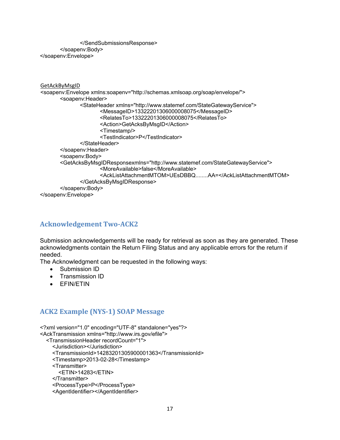</SendSubmissionsResponse> </soapenv:Body> </soapenv:Envelope>

```
GetAckByMsgID
<soapenv:Envelope xmlns:soapenv="http://schemas.xmlsoap.org/soap/envelope/"> 
        <soapenv:Header> 
              <StateHeader xmlns="http://www.statemef.com/StateGatewayService"> 
                      <MessageID>13322201306000008075</MessageID> 
                      <RelatesTo>13322201306000008075</RelatesTo> 
                      <Action>GetAcksByMsgID</Action> 
                      <Timestamp/> 
                      <TestIndicator>P</TestIndicator> 
              </StateHeader> 
        </soapenv:Header> 
        <soapenv:Body> 
        <GetAcksByMsgIDResponsexmlns="http://www.statemef.com/StateGatewayService"> 
                      <MoreAvailable>false</MoreAvailable> 
                      <AckListAttachmentMTOM>UEsDBBQ........AA=</AckListAttachmentMTOM> 
              </GetAcksByMsgIDResponse> 
        </soapenv:Body> 
</soapenv:Envelope>
```
### **Acknowledgement Two‐ACK2**

Submission acknowledgements will be ready for retrieval as soon as they are generated. These acknowledgments contain the Return Filing Status and any applicable errors for the return if needed.

The Acknowledgment can be requested in the following ways:

- Submission ID
- Transmission ID
- EFIN/ETIN

#### **ACK2 Example (NYS‐1) SOAP Message**

<?xml version="1.0" encoding="UTF-8" standalone="yes"?> <AckTransmission xmlns="http://www.irs.gov/efile"> <TransmissionHeader recordCount="1"> <Jurisdiction></Jurisdiction> <TransmissionId>14283201305900001363</TransmissionId> <Timestamp>2013-02-28</Timestamp> <Transmitter> <ETIN>14283</ETIN> </Transmitter> <ProcessType>P</ProcessType>

<AgentIdentifier></AgentIdentifier>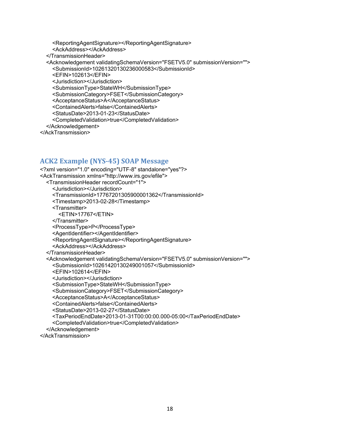<ReportingAgentSignature></ReportingAgentSignature>

- <AckAddress></AckAddress>
- </TransmissionHeader>

<Acknowledgement validatingSchemaVersion="FSETV5.0" submissionVersion="">

<SubmissionId>10261320130236000583</SubmissionId>

<EFIN>102613</EFIN>

<Jurisdiction></Jurisdiction>

<SubmissionType>StateWH</SubmissionType>

<SubmissionCategory>FSET</SubmissionCategory>

<AcceptanceStatus>A</AcceptanceStatus>

<ContainedAlerts>false</ContainedAlerts>

<StatusDate>2013-01-23</StatusDate>

<CompletedValidation>true</CompletedValidation>

</Acknowledgement>

</AckTransmission>

#### **ACK2 Example (NYS‐45) SOAP Message**

<?xml version="1.0" encoding="UTF-8" standalone="yes"?> <AckTransmission xmlns="http://www.irs.gov/efile"> <TransmissionHeader recordCount="1"> <Jurisdiction></Jurisdiction> <TransmissionId>17767201305900001362</TransmissionId> <Timestamp>2013-02-28</Timestamp> <Transmitter> <ETIN>17767</ETIN> </Transmitter> <ProcessType>P</ProcessType> <AgentIdentifier></AgentIdentifier> <ReportingAgentSignature></ReportingAgentSignature> <AckAddress></AckAddress> </TransmissionHeader> <Acknowledgement validatingSchemaVersion="FSETV5.0" submissionVersion=""> <SubmissionId>10261420130249001057</SubmissionId> <EFIN>102614</EFIN> <Jurisdiction></Jurisdiction> <SubmissionType>StateWH</SubmissionType> <SubmissionCategory>FSET</SubmissionCategory> <AcceptanceStatus>A</AcceptanceStatus> <ContainedAlerts>false</ContainedAlerts> <StatusDate>2013-02-27</StatusDate> <TaxPeriodEndDate>2013-01-31T00:00:00.000-05:00</TaxPeriodEndDate> <CompletedValidation>true</CompletedValidation> </Acknowledgement> </AckTransmission>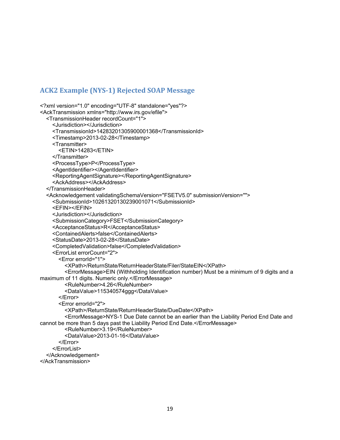#### **ACK2 Example (NYS‐1) Rejected SOAP Message**

```
<?xml version="1.0" encoding="UTF-8" standalone="yes"?> 
<AckTransmission xmlns="http://www.irs.gov/efile"> 
   <TransmissionHeader recordCount="1"> 
     <Jurisdiction></Jurisdiction> 
     <TransmissionId>14283201305900001368</TransmissionId> 
     <Timestamp>2013-02-28</Timestamp> 
     <Transmitter> 
        <ETIN>14283</ETIN> 
     </Transmitter> 
     <ProcessType>P</ProcessType> 
     <AgentIdentifier></AgentIdentifier> 
     <ReportingAgentSignature></ReportingAgentSignature> 
     <AckAddress></AckAddress> 
   </TransmissionHeader> 
   <Acknowledgement validatingSchemaVersion="FSETV5.0" submissionVersion=""> 
     <SubmissionId>10261320130239001071</SubmissionId> 
     <EFIN></EFIN> 
     <Jurisdiction></Jurisdiction> 
     <SubmissionCategory>FSET</SubmissionCategory> 
     <AcceptanceStatus>R</AcceptanceStatus> 
     <ContainedAlerts>false</ContainedAlerts> 
     <StatusDate>2013-02-28</StatusDate> 
     <CompletedValidation>false</CompletedValidation> 
     <ErrorList errorCount="2"> 
        <Error errorId="1"> 
          <XPath>/ReturnState/ReturnHeaderState/Filer/StateEIN</XPath> 
          <ErrorMessage>EIN (Withholding Identification number) Must be a minimum of 9 digits and a 
maximum of 11 digits. Numeric only.</ErrorMessage> 
          <RuleNumber>4.26</RuleNumber> 
          <DataValue>115340574ggg</DataValue> 
        </Error> 
        <Error errorId="2"> 
          <XPath>/ReturnState/ReturnHeaderState/DueDate</XPath> 
          <ErrorMessage>NYS-1 Due Date cannot be an earlier than the Liability Period End Date and 
cannot be more than 5 days past the Liability Period End Date.</ErrorMessage> 
          <RuleNumber>3.19</RuleNumber> 
          <DataValue>2013-01-16</DataValue> 
        </Error> 
     </ErrorList> 
   </Acknowledgement>
```
</AckTransmission>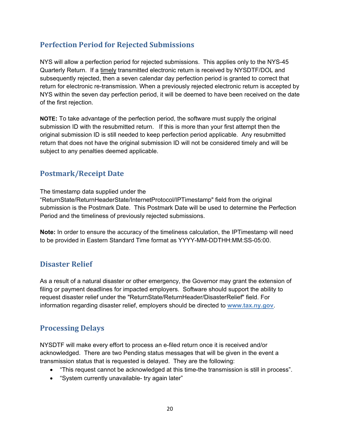# **Perfection Period for Rejected Submissions**

NYS will allow a perfection period for rejected submissions. This applies only to the NYS-45 Quarterly Return. If a timely transmitted electronic return is received by NYSDTF/DOL and subsequently rejected, then a seven calendar day perfection period is granted to correct that return for electronic re-transmission. When a previously rejected electronic return is accepted by NYS within the seven day perfection period, it will be deemed to have been received on the date of the first rejection.

**NOTE:** To take advantage of the perfection period, the software must supply the original submission ID with the resubmitted return. If this is more than your first attempt then the original submission ID is still needed to keep perfection period applicable. Any resubmitted return that does not have the original submission ID will not be considered timely and will be subject to any penalties deemed applicable.

# **Postmark/Receipt Date**

The timestamp data supplied under the

"ReturnState/ReturnHeaderState/InternetProtocol/IPTimestamp" field from the original submission is the Postmark Date. This Postmark Date will be used to determine the Perfection Period and the timeliness of previously rejected submissions.

**Note:** In order to ensure the accuracy of the timeliness calculation, the IPTimestamp will need to be provided in Eastern Standard Time format as YYYY-MM-DDTHH:MM:SS-05:00.

# **Disaster Relief**

As a result of a natural disaster or other emergency, the Governor may grant the extension of filing or payment deadlines for impacted employers. Software should support the ability to request disaster relief under the "ReturnState/ReturnHeader/DisasterRelief" field. For information regarding disaster relief, employers should be directed to **www.tax.ny.gov**.

# **Processing Delays**

NYSDTF will make every effort to process an e-filed return once it is received and/or acknowledged. There are two Pending status messages that will be given in the event a transmission status that is requested is delayed. They are the following:

- "This request cannot be acknowledged at this time-the transmission is still in process".
- "System currently unavailable- try again later"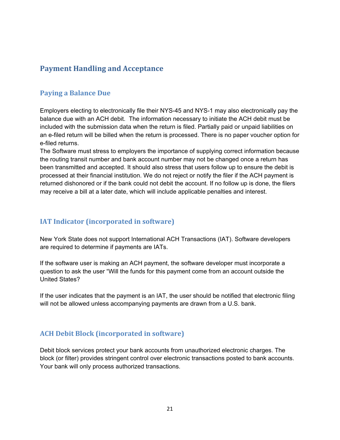# **Payment Handling and Acceptance**

#### **Paying a Balance Due**

Employers electing to electronically file their NYS-45 and NYS-1 may also electronically pay the balance due with an ACH debit. The information necessary to initiate the ACH debit must be included with the submission data when the return is filed. Partially paid or unpaid liabilities on an e-filed return will be billed when the return is processed. There is no paper voucher option for e-filed returns.

The Software must stress to employers the importance of supplying correct information because the routing transit number and bank account number may not be changed once a return has been transmitted and accepted. It should also stress that users follow up to ensure the debit is processed at their financial institution. We do not reject or notify the filer if the ACH payment is returned dishonored or if the bank could not debit the account. If no follow up is done, the filers may receive a bill at a later date, which will include applicable penalties and interest.

### **IAT Indicator (incorporated in software)**

New York State does not support International ACH Transactions (IAT). Software developers are required to determine if payments are IATs.

If the software user is making an ACH payment, the software developer must incorporate a question to ask the user "Will the funds for this payment come from an account outside the United States?

If the user indicates that the payment is an IAT, the user should be notified that electronic filing will not be allowed unless accompanying payments are drawn from a U.S. bank.

# **ACH Debit Block (incorporated in software)**

Debit block services protect your bank accounts from unauthorized electronic charges. The block (or filter) provides stringent control over electronic transactions posted to bank accounts. Your bank will only process authorized transactions.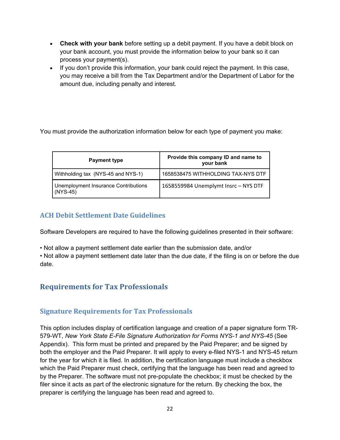- **Check with your bank** before setting up a debit payment. If you have a debit block on your bank account, you must provide the information below to your bank so it can process your payment(s).
- If you don't provide this information, your bank could reject the payment. In this case, you may receive a bill from the Tax Department and/or the Department of Labor for the amount due, including penalty and interest.

You must provide the authorization information below for each type of payment you make:

| <b>Payment type</b>                                | Provide this company ID and name to<br>your bank |  |  |
|----------------------------------------------------|--------------------------------------------------|--|--|
| Withholding tax (NYS-45 and NYS-1)                 | 1658538475 WITHHOLDING TAX-NYS DTF               |  |  |
| Unemployment Insurance Contributions<br>$(NYS-45)$ | 1658559984 Unemplymt Insrc - NYS DTF             |  |  |

# **ACH Debit Settlement Date Guidelines**

Software Developers are required to have the following guidelines presented in their software:

• Not allow a payment settlement date earlier than the submission date, and/or

• Not allow a payment settlement date later than the due date, if the filing is on or before the due date.

# **Requirements for Tax Professionals**

# **Signature Requirements for Tax Professionals**

This option includes display of certification language and creation of a paper signature form TR-579-WT, *New York State E-File Signature Authorization for Forms NYS-1 and NYS-45* (See Appendix). This form must be printed and prepared by the Paid Preparer; and be signed by both the employer and the Paid Preparer. It will apply to every e-filed NYS-1 and NYS-45 return for the year for which it is filed. In addition, the certification language must include a checkbox which the Paid Preparer must check, certifying that the language has been read and agreed to by the Preparer. The software must not pre-populate the checkbox; it must be checked by the filer since it acts as part of the electronic signature for the return. By checking the box, the preparer is certifying the language has been read and agreed to.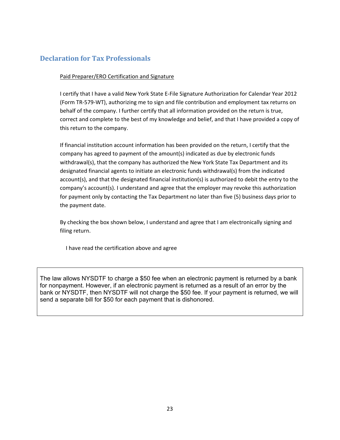#### **Declaration for Tax Professionals**

#### Paid Preparer/ERO Certification and Signature

I certify that I have a valid New York State E‐File Signature Authorization for Calendar Year 2012 (Form TR‐579‐WT), authorizing me to sign and file contribution and employment tax returns on behalf of the company. I further certify that all information provided on the return is true, correct and complete to the best of my knowledge and belief, and that I have provided a copy of this return to the company.

If financial institution account information has been provided on the return, I certify that the company has agreed to payment of the amount(s) indicated as due by electronic funds withdrawal(s), that the company has authorized the New York State Tax Department and its designated financial agents to initiate an electronic funds withdrawal(s) from the indicated account(s), and that the designated financial institution(s) is authorized to debit the entry to the company's account(s). I understand and agree that the employer may revoke this authorization for payment only by contacting the Tax Department no later than five (5) business days prior to the payment date.

By checking the box shown below, I understand and agree that I am electronically signing and filing return.

I have read the certification above and agree

The law allows NYSDTF to charge a \$50 fee when an electronic payment is returned by a bank for nonpayment. However, if an electronic payment is returned as a result of an error by the bank or NYSDTF, then NYSDTF will not charge the \$50 fee. If your payment is returned, we will send a separate bill for \$50 for each payment that is dishonored.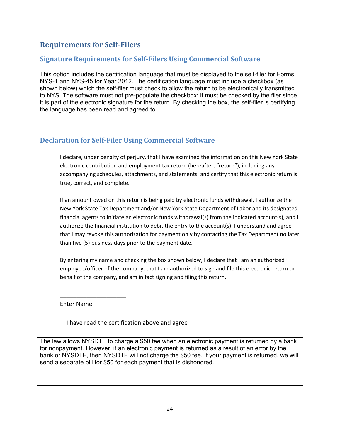# **Requirements for Self‐Filers**

#### **Signature Requirements for Self‐Filers Using Commercial Software**

This option includes the certification language that must be displayed to the self-filer for Forms NYS-1 and NYS-45 for Year 2012. The certification language must include a checkbox (as shown below) which the self-filer must check to allow the return to be electronically transmitted to NYS. The software must not pre-populate the checkbox; it must be checked by the filer since it is part of the electronic signature for the return. By checking the box, the self-filer is certifying the language has been read and agreed to.

#### **Declaration for Self‐Filer Using Commercial Software**

I declare, under penalty of perjury, that I have examined the information on this New York State electronic contribution and employment tax return (hereafter, "return"), including any accompanying schedules, attachments, and statements, and certify that this electronic return is true, correct, and complete.

If an amount owed on this return is being paid by electronic funds withdrawal, I authorize the New York State Tax Department and/or New York State Department of Labor and its designated financial agents to initiate an electronic funds withdrawal(s) from the indicated account(s), and I authorize the financial institution to debit the entry to the account(s). I understand and agree that I may revoke this authorization for payment only by contacting the Tax Department no later than five (5) business days prior to the payment date.

By entering my name and checking the box shown below, I declare that I am an authorized employee/officer of the company, that I am authorized to sign and file this electronic return on behalf of the company, and am in fact signing and filing this return.

Enter Name

\_\_\_\_\_\_\_\_\_\_\_\_\_\_\_\_\_\_\_\_

I have read the certification above and agree

The law allows NYSDTF to charge a \$50 fee when an electronic payment is returned by a bank for nonpayment. However, if an electronic payment is returned as a result of an error by the bank or NYSDTF, then NYSDTF will not charge the \$50 fee. If your payment is returned, we will send a separate bill for \$50 for each payment that is dishonored.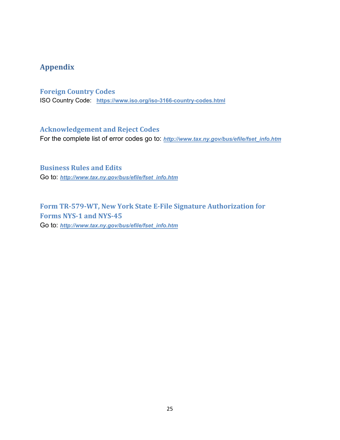# **Appendix**

#### **Foreign Country Codes**

ISO Country Code: **<https://www.iso.org/iso-3166-country-codes.html>**

#### **Acknowledgement and Reject Codes**

For the complete list of error codes go to: *http://www.tax.ny.gov/bus/efile/fset\_info.htm*

**Business Rules and Edits** Go to: *http://www.tax.ny.gov/bus/efile/fset\_info.htm*

# **Form TR‐579‐WT, New York State E‐File Signature Authorization for Forms NYS‐1 and NYS‐45** Go to: *http://www.tax.ny.gov/bus/efile/fset\_info.htm*